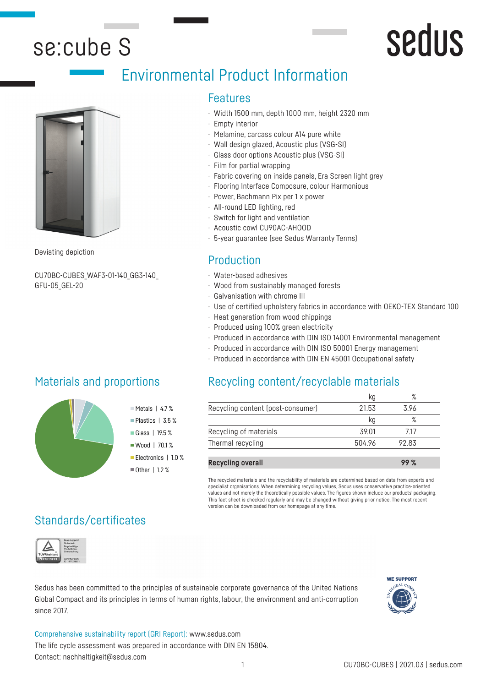## se:cube S

# **Sedus**

## Environmental Product Information



CU70BC-CUBES\_WAF3-01-140\_GG3-140\_ GFU-05\_GEL-20

### Materials and proportions

#### Features

- · Width 1500 mm, depth 1000 mm, height 2320 mm
- · Empty interior
- · Melamine, carcass colour A14 pure white
- · Wall design glazed, Acoustic plus (VSG-SI)
- · Glass door options Acoustic plus (VSG-SI)
- · Film for partial wrapping
- · Fabric covering on inside panels, Era Screen light grey
- · Flooring Interface Composure, colour Harmonious
- · Power, Bachmann Pix per 1 x power
- · All-round LED lighting, red
- · Switch for light and ventilation
- · Acoustic cowl CU90AC-AHOOD
- · 5-year guarantee (see Sedus Warranty Terms)

## Deviating depiction **Deviating depiction**

- · Water-based adhesives
- · Wood from sustainably managed forests
- · Galvanisation with chrome III
- · Use of certified upholstery fabrics in accordance with OEKO-TEX Standard 100
- · Heat generation from wood chippings
- · Produced using 100% green electricity
- · Produced in accordance with DIN ISO 14001 Environmental management
- · Produced in accordance with DIN ISO 50001 Energy management
- · Produced in accordance with DIN EN 45001 Occupational safety

### Recycling content/recyclable materials

|                                   |        | $\circ$ |  |
|-----------------------------------|--------|---------|--|
| Recycling content (post-consumer) | 21.53  | 3.96    |  |
|                                   | κα     | ℅       |  |
| Recycling of materials            | 39.01  | 717     |  |
| Thermal recycling                 | 504.96 | 9283    |  |

| <b>Recycling overall</b> | 99 % |
|--------------------------|------|

The recycled materials and the recyclability of materials are determined based on data from experts and specialist organisations. When determining recycling values, Sedus uses conservative practice-oriented values and not merely the theoretically possible values. The figures shown include our products' packaging. This fact sheet is checked regularly and may be changed without giving prior notice. The most recent version can be downloaded from our homepage at any time.

### Standards/certificates



Sedus has been committed to the principles of sustainable corporate governance of the United Nations Global Compact and its principles in terms of human rights, labour, the environment and anti-corruption since 2017.



#### Comprehensive sustainability report (GRI Report): www.sedus.com The life cycle assessment was prepared in accordance with DIN EN 15804.

 $M$ Metals | 4.7% Plastics | 3.5 % Glass | 19.5 % Wood | 70.1% Electronics | 1.0 %  $\blacksquare$  Other | 1.2 %

Contact: nachhaltigkeit@sedus.com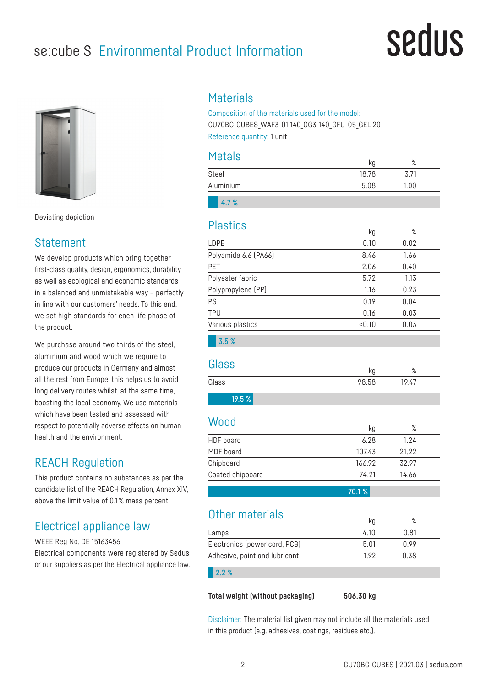## se:cube S Environmental Product Information

# sedus



Deviating depiction

#### **Statement**

We develop products which bring together first-class quality, design, ergonomics, durability as well as ecological and economic standards in a balanced and unmistakable way – perfectly in line with our customers' needs. To this end, we set high standards for each life phase of the product.

We purchase around two thirds of the steel, aluminium and wood which we require to produce our products in Germany and almost all the rest from Europe, this helps us to avoid long delivery routes whilst, at the same time, boosting the local economy. We use materials which have been tested and assessed with respect to potentially adverse effects on human health and the environment.

### REACH Regulation

This product contains no substances as per the candidate list of the REACH Regulation, Annex XIV, above the limit value of 0.1 % mass percent.

### Electrical appliance law

WEEE Reg No. DE 15163456

Electrical components were registered by Sedus or our suppliers as per the Electrical appliance law.

#### **Materials**

Composition of the materials used for the model: CU70BC-CUBES\_WAF3-01-140\_GG3-140\_GFU-05\_GEL-20 Reference quantity: 1 unit

#### Metals

| .         | kg    | $\circ$<br>$\sqrt{\circ}$ |  |
|-----------|-------|---------------------------|--|
| Steel     | 18.78 | 3.71                      |  |
| Aluminium | 5.08  | 1.00                      |  |
|           |       |                           |  |

4.7 %

#### Plastics

|                      | кy    | %    |  |
|----------------------|-------|------|--|
| LDPE                 | 0.10  | 0.02 |  |
| Polyamide 6.6 (PA66) | 8.46  | 1.66 |  |
| PET                  | 2.06  | 0.40 |  |
| Polyester fabric     | 5.72  | 1.13 |  |
| Polypropylene (PP)   | 1.16  | 0.23 |  |
| PS                   | 0.19  | 0.04 |  |
| <b>TPU</b>           | 0.16  | 0.03 |  |
| Various plastics     | <0.10 | 0.03 |  |
|                      |       |      |  |

3.5 %

#### Glass

| ----  | ৲৬            | $\mathbf{o}$<br>$\sqrt{2}$ |
|-------|---------------|----------------------------|
| Glass | <b>98 F.R</b> | 19/7                       |
|       |               |                            |

### 19.5 %

#### Wood

| .                | kg     | $\%$  |  |
|------------------|--------|-------|--|
| HDF board        | 6.28   | 1.24  |  |
| MDF board        | 107.43 | 21.22 |  |
| Chipboard        | 166.92 | 32.97 |  |
| Coated chipboard | 74.21  | 14.66 |  |
|                  | 70.1%  |       |  |

#### Other materials kg  $\frac{1}{2}$

|                               | кy   | $\sqrt{2}$ |  |
|-------------------------------|------|------------|--|
| Lamps                         | 4.10 | 0.81       |  |
| Electronics (power cord, PCB) | 5.01 | 0.99       |  |
| Adhesive, paint and lubricant | 1.92 | 0.38       |  |
| $2.2\%$                       |      |            |  |
|                               |      |            |  |

**Total weight (without packaging) 506.30 kg**

Disclaimer: The material list given may not include all the materials used in this product (e.g. adhesives, coatings, residues etc.).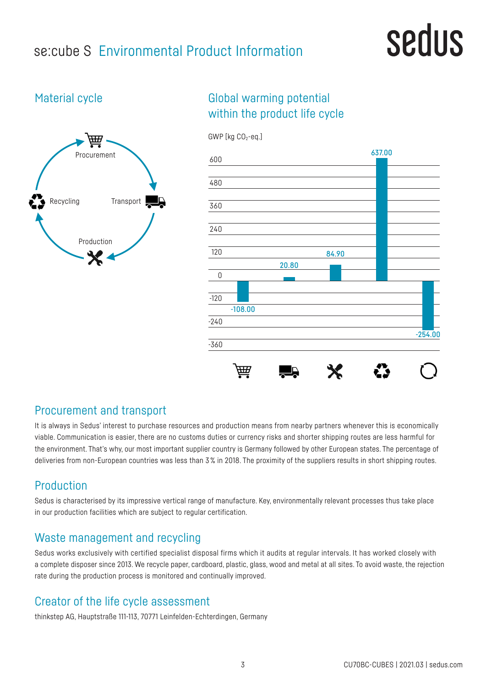## se:cube S Environmental Product Information

# sedus

#### Material cycle



### Global warming potential within the product life cycle



#### Procurement and transport

It is always in Sedus' interest to purchase resources and production means from nearby partners whenever this is economically viable. Communication is easier, there are no customs duties or currency risks and shorter shipping routes are less harmful for the environment. That's why, our most important supplier country is Germany followed by other European states. The percentage of deliveries from non-European countries was less than 3% in 2018. The proximity of the suppliers results in short shipping routes.

### Production

Sedus is characterised by its impressive vertical range of manufacture. Key, environmentally relevant processes thus take place in our production facilities which are subject to regular certification.

#### Waste management and recycling

Sedus works exclusively with certified specialist disposal firms which it audits at regular intervals. It has worked closely with a complete disposer since 2013. We recycle paper, cardboard, plastic, glass, wood and metal at all sites. To avoid waste, the rejection rate during the production process is monitored and continually improved.

#### Creator of the life cycle assessment

thinkstep AG, Hauptstraße 111-113, 70771 Leinfelden-Echterdingen, Germany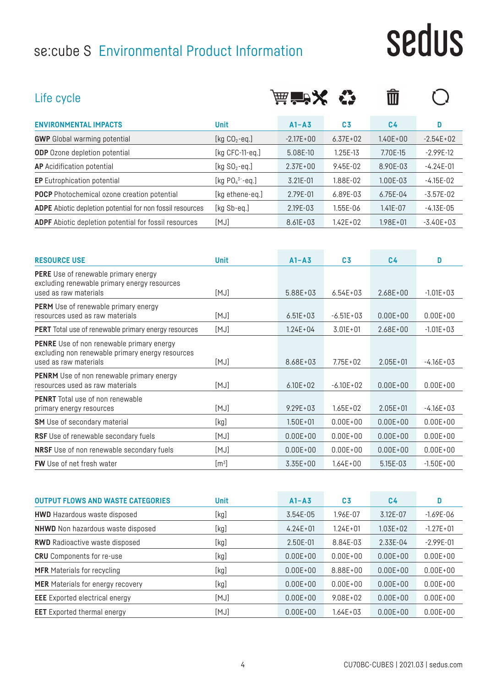## se:cube S Environmental Product Information

# sedus

| Life cycle                                                                                                           |                       | 益音义           |                | Ŵ              |                |
|----------------------------------------------------------------------------------------------------------------------|-----------------------|---------------|----------------|----------------|----------------|
| <b>ENVIRONMENTAL IMPACTS</b>                                                                                         | <b>Unit</b>           | $A1 - A3$     | C <sub>3</sub> | C <sub>4</sub> | D              |
| <b>GWP</b> Global warming potential                                                                                  | [kg $CO2$ -eq.]       | $-2.17E + 00$ | $6.37E + 02$   | $1.40E + 00$   | $-2.54E+02$    |
| <b>ODP</b> Ozone depletion potential                                                                                 | [ $kg$ CFC-11-eq.]    | 5.08E-10      | 1.25E-13       | 7.70E-15       | $-2.99E-12$    |
| <b>AP</b> Acidification potential                                                                                    | [ $kg SO2 - eq.$ ]    | $2.37E + 00$  | 9.45E-02       | 8.90E-03       | $-4.24E-01$    |
| <b>EP</b> Eutrophication potential                                                                                   | [kg $PO_4^{3-}$ -eq.] | $3.21E - 01$  | 1.88E-02       | 1.00E-03       | $-4.15E-02$    |
| <b>POCP</b> Photochemical ozone creation potential                                                                   | [kg ethene-eq.]       | 2.79E-01      | 6.89E-03       | $6.75E-04$     | $-3.57E-02$    |
| <b>ADPE</b> Abiotic depletion potential for non fossil resources                                                     | [kg Sb-eq.]           | 2.19E-03      | 1.55E-06       | $1.41E - 07$   | $-4.13E - 05$  |
| <b>ADPF</b> Abiotic depletion potential for fossil resources                                                         | [MJ]                  | $8.61E + 03$  | $1.42E + 02$   | $1.98E + 01$   | $-3.40E+03$    |
| <b>RESOURCE USE</b>                                                                                                  | <b>Unit</b>           | $A1 - A3$     | C <sub>3</sub> | C <sub>4</sub> | D              |
| <b>PERE</b> Use of renewable primary energy<br>excluding renewable primary energy resources<br>used as raw materials | [MJ]                  | 5.88E+03      | $6.54E + 03$   | $2.68E + 00$   | $-1.01E + 03$  |
| <b>PERM</b> Use of renewable primary energy<br>resources used as raw materials                                       | [MJ]                  | $6.51E + 03$  | $-6.51E + 03$  | $0.00E + 00$   | $0.00E + 00$   |
| <b>PFRT</b> Total use of renewable primary energy resources                                                          | [M.I]                 | $124F + 04$   | $3.01F + 01$   | $268F+00$      | $-1.01F + 0.3$ |

| <b>PERM</b> Use of renewable primary energy<br>resources used as raw materials                                                | [MJ]             | $6.51E + 03$ | $-6.51E+03$   | $0.00E + 00$ | $0.00E + 00$  |
|-------------------------------------------------------------------------------------------------------------------------------|------------------|--------------|---------------|--------------|---------------|
| <b>PERT</b> Total use of renewable primary energy resources                                                                   | [MJ]             | $1.24E + 04$ | $3.01E + 01$  | $2.68E + 00$ | $-1.01E + 03$ |
| <b>PENRE</b> Use of non renewable primary energy<br>excluding non renewable primary energy resources<br>used as raw materials | [MJ]             | 8.68E+03     | $7.75E + 02$  | $2.05E + 01$ | $-4.16E+03$   |
| <b>PENRM</b> Use of non renewable primary energy<br>resources used as raw materials                                           | [MJ]             | $6.10E + 02$ | $-6.10E + 02$ | $0.00E + 00$ | $0.00E + 00$  |
| <b>PENRT</b> Total use of non renewable<br>primary energy resources                                                           | [MJ]             | $9.29E + 03$ | $1.65E + 02$  | $2.05E + 01$ | $-4.16E+03$   |
| <b>SM</b> Use of secondary material                                                                                           | [kg]             | $1.50E + 01$ | $0.00E + 00$  | $0.00E + 00$ | $0.00E + 00$  |
| RSF Use of renewable secondary fuels                                                                                          | [MJ]             | $0.00E + 00$ | $0.00E + 00$  | $0.00E + 00$ | $0.00E + 00$  |
| NRSF Use of non renewable secondary fuels                                                                                     | [MJ]             | $0.00E + 00$ | $0.00E + 00$  | $0.00E + 00$ | $0.00E + 00$  |
| <b>FW</b> Use of net fresh water                                                                                              | $\mathsf{[m^3]}$ | $3.35E + 00$ | $1.64E + 00$  | 5.15E-03     | $-1.50E + 00$ |

| <b>OUTPUT FLOWS AND WASTE CATEGORIES</b> | <b>Unit</b> | $A1 - A3$    | C3           | C4           | D             |
|------------------------------------------|-------------|--------------|--------------|--------------|---------------|
| <b>HWD</b> Hazardous waste disposed      | [kg]        | 3.54E-05     | 1.96E-07     | 3.12E-07     | $-1.69E - 06$ |
| <b>NHWD</b> Non hazardous waste disposed | [kg]        | $4.24E + 01$ | $1.24E + 01$ | $1.03E + 02$ | $-1.27E + 01$ |
| <b>RWD</b> Radioactive waste disposed    | [kg]        | 2.50E-01     | 8.84E-03     | 2.33E-04     | $-2.99E - 01$ |
| <b>CRU</b> Components for re-use         | [kg]        | $0.00E + 00$ | $0.00E + 00$ | $0.00E + 00$ | $0.00E + 00$  |
| <b>MFR</b> Materials for recycling       | [kg]        | $0.00E + 00$ | 8.88E+00     | $0.00E + 00$ | $0.00E + 00$  |
| <b>MER</b> Materials for energy recovery | [kg]        | $0.00E + 00$ | $0.00E + 00$ | $0.00E + 00$ | $0.00E + 00$  |
| <b>EEE</b> Exported electrical energy    | [MJ]        | $0.00E + 00$ | $9.08E + 02$ | $0.00E + 00$ | $0.00E + 00$  |
| <b>EET</b> Exported thermal energy       | [MJ]        | $0.00E + 00$ | $1.64E + 03$ | $0.00E + 00$ | $0.00E + 00$  |